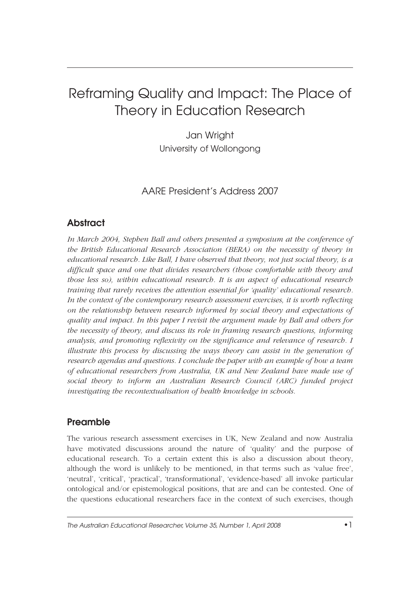# Reframing Quality and Impact: The Place of Theory in Education Research

Jan Wright University of Wollongong

AARE President's Address 2007

# **Abstract**

*In March 2004, Stephen Ball and others presented a symposium at the conference of the British Educational Research Association (BERA) on the necessity of theory in educational research. Like Ball, I have observed that theory, not just social theory, is a difficult space and one that divides researchers (those comfortable with theory and those less so), within educational research. It is an aspect of educational research training that rarely receives the attention essential for 'quality' educational research. In the context of the contemporary research assessment exercises, it is worth reflecting on the relationship between research informed by social theory and expectations of quality and impact. In this paper I revisit the argument made by Ball and others for the necessity of theory, and discuss its role in framing research questions, informing analysis, and promoting reflexivity on the significance and relevance of research. I illustrate this process by discussing the ways theory can assist in the generation of research agendas and questions. I conclude the paper with an example of how a team of educational researchers from Australia, UK and New Zealand have made use of social theory to inform an Australian Research Council (ARC) funded project investigating the recontextualisation of health knowledge in schools.*

# **Preamble**

The various research assessment exercises in UK, New Zealand and now Australia have motivated discussions around the nature of 'quality' and the purpose of educational research. To a certain extent this is also a discussion about theory, although the word is unlikely to be mentioned, in that terms such as 'value free', 'neutral', 'critical', 'practical', 'transformational', 'evidence-based' all invoke particular ontological and/or epistemological positions, that are and can be contested. One of the questions educational researchers face in the context of such exercises, though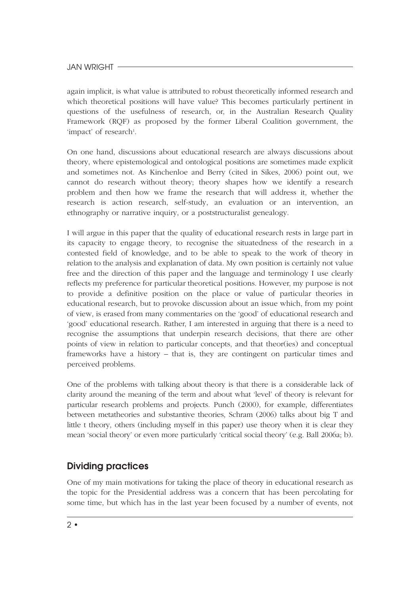JAN WRIGHT

again implicit, is what value is attributed to robust theoretically informed research and which theoretical positions will have value? This becomes particularly pertinent in questions of the usefulness of research, or, in the Australian Research Quality Framework (RQF) as proposed by the former Liberal Coalition government, the 'impact' of research<sup>1</sup>.

On one hand, discussions about educational research are always discussions about theory, where epistemological and ontological positions are sometimes made explicit and sometimes not. As Kinchenloe and Berry (cited in Sikes, 2006) point out, we cannot do research without theory; theory shapes how we identify a research problem and then how we frame the research that will address it, whether the research is action research, self-study, an evaluation or an intervention, an ethnography or narrative inquiry, or a poststructuralist genealogy.

I will argue in this paper that the quality of educational research rests in large part in its capacity to engage theory, to recognise the situatedness of the research in a contested field of knowledge, and to be able to speak to the work of theory in relation to the analysis and explanation of data. My own position is certainly not value free and the direction of this paper and the language and terminology I use clearly reflects my preference for particular theoretical positions. However, my purpose is not to provide a definitive position on the place or value of particular theories in educational research, but to provoke discussion about an issue which, from my point of view, is erased from many commentaries on the 'good' of educational research and 'good' educational research. Rather, I am interested in arguing that there is a need to recognise the assumptions that underpin research decisions, that there are other points of view in relation to particular concepts, and that theor(ies) and conceptual frameworks have a history – that is, they are contingent on particular times and perceived problems.

One of the problems with talking about theory is that there is a considerable lack of clarity around the meaning of the term and about what 'level' of theory is relevant for particular research problems and projects. Punch (2000), for example, differentiates between metatheories and substantive theories, Schram (2006) talks about big T and little t theory, others (including myself in this paper) use theory when it is clear they mean 'social theory' or even more particularly 'critical social theory' (e.g. Ball 2006a; b).

# **Dividing practices**

One of my main motivations for taking the place of theory in educational research as the topic for the Presidential address was a concern that has been percolating for some time, but which has in the last year been focused by a number of events, not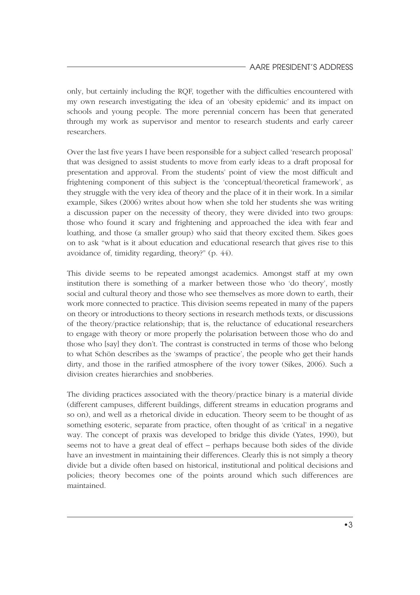only, but certainly including the RQF, together with the difficulties encountered with my own research investigating the idea of an 'obesity epidemic' and its impact on schools and young people. The more perennial concern has been that generated through my work as supervisor and mentor to research students and early career researchers.

Over the last five years I have been responsible for a subject called 'research proposal' that was designed to assist students to move from early ideas to a draft proposal for presentation and approval. From the students' point of view the most difficult and frightening component of this subject is the 'conceptual/theoretical framework', as they struggle with the very idea of theory and the place of it in their work. In a similar example, Sikes (2006) writes about how when she told her students she was writing a discussion paper on the necessity of theory, they were divided into two groups: those who found it scary and frightening and approached the idea with fear and loathing, and those (a smaller group) who said that theory excited them. Sikes goes on to ask "what is it about education and educational research that gives rise to this avoidance of, timidity regarding, theory?" (p. 44).

This divide seems to be repeated amongst academics. Amongst staff at my own institution there is something of a marker between those who 'do theory', mostly social and cultural theory and those who see themselves as more down to earth, their work more connected to practice. This division seems repeated in many of the papers on theory or introductions to theory sections in research methods texts, or discussions of the theory/practice relationship; that is, the reluctance of educational researchers to engage with theory or more properly the polarisation between those who do and those who [say] they don't. The contrast is constructed in terms of those who belong to what Schön describes as the 'swamps of practice', the people who get their hands dirty, and those in the rarified atmosphere of the ivory tower (Sikes, 2006). Such a division creates hierarchies and snobberies.

The dividing practices associated with the theory/practice binary is a material divide (different campuses, different buildings, different streams in education programs and so on), and well as a rhetorical divide in education. Theory seem to be thought of as something esoteric, separate from practice, often thought of as 'critical' in a negative way. The concept of praxis was developed to bridge this divide (Yates, 1990), but seems not to have a great deal of effect – perhaps because both sides of the divide have an investment in maintaining their differences. Clearly this is not simply a theory divide but a divide often based on historical, institutional and political decisions and policies; theory becomes one of the points around which such differences are maintained.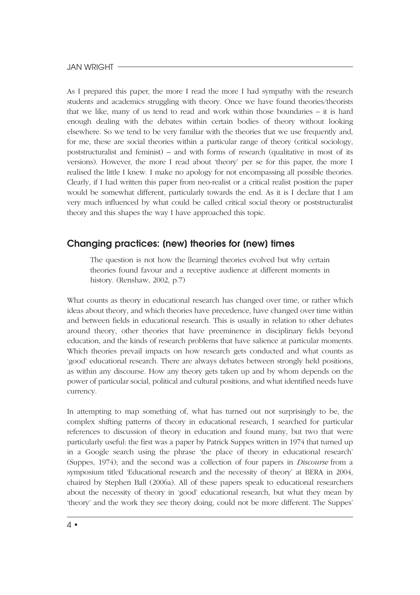As I prepared this paper, the more I read the more I had sympathy with the research students and academics struggling with theory. Once we have found theories/theorists that we like, many of us tend to read and work within those boundaries – it is hard enough dealing with the debates within certain bodies of theory without looking elsewhere. So we tend to be very familiar with the theories that we use frequently and, for me, these are social theories within a particular range of theory (critical sociology, poststructuralist and feminist) – and with forms of research (qualitative in most of its versions). However, the more I read about 'theory' per se for this paper, the more I realised the little I knew. I make no apology for not encompassing all possible theories. Clearly, if I had written this paper from neo-realist or a critical realist position the paper would be somewhat different, particularly towards the end. As it is I declare that I am very much influenced by what could be called critical social theory or poststructuralist theory and this shapes the way I have approached this topic.

### **Changing practices: [new] theories for [new] times**

The question is not how the [learning] theories evolved but why certain theories found favour and a receptive audience at different moments in history. (Renshaw, 2002, p.7)

What counts as theory in educational research has changed over time, or rather which ideas about theory, and which theories have precedence, have changed over time within and between fields in educational research. This is usually in relation to other debates around theory, other theories that have preeminence in disciplinary fields beyond education, and the kinds of research problems that have salience at particular moments. Which theories prevail impacts on how research gets conducted and what counts as 'good' educational research. There are always debates between strongly held positions, as within any discourse. How any theory gets taken up and by whom depends on the power of particular social, political and cultural positions, and what identified needs have currency.

In attempting to map something of, what has turned out not surprisingly to be, the complex shifting patterns of theory in educational research, I searched for particular references to discussion of theory in education and found many, but two that were particularly useful: the first was a paper by Patrick Suppes written in 1974 that turned up in a Google search using the phrase 'the place of theory in educational research' (Suppes, 1974); and the second was a collection of four papers in *Discourse* from a symposium titled 'Educational research and the necessity of theory' at BERA in 2004, chaired by Stephen Ball (2006a). All of these papers speak to educational researchers about the necessity of theory in 'good' educational research, but what they mean by 'theory' and the work they see theory doing, could not be more different. The Suppes'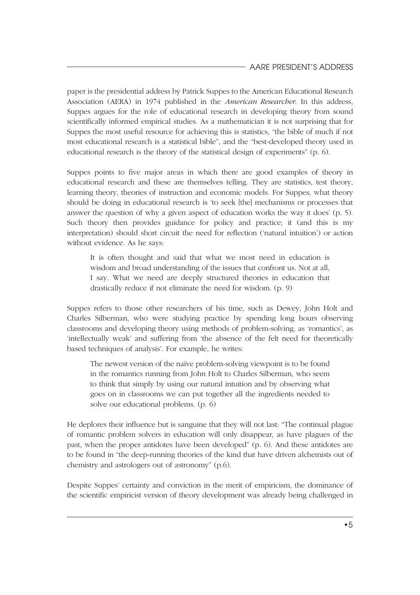paper is the presidential address by Patrick Suppes to the American Educational Research Association (AERA) in 1974 published in the *American Researcher*. In this address, Suppes argues for the role of educational research in developing theory from sound scientifically informed empirical studies. As a mathematician it is not surprising that for Suppes the most useful resource for achieving this is statistics, "the bible of much if not most educational research is a statistical bible", and the "best-developed theory used in educational research is the theory of the statistical design of experiments" (p. 6).

Suppes points to five major areas in which there are good examples of theory in educational research and these are themselves telling. They are statistics, test theory, learning theory, theories of instruction and economic models. For Suppes, what theory should be doing in educational research is 'to seek [the] mechanisms or processes that answer the question of why a given aspect of education works the way it does' (p. 5). Such theory then provides guidance for policy and practice; it (and this is my interpretation) should short circuit the need for reflection ('natural intuition') or action without evidence. As he says:

It is often thought and said that what we most need in education is wisdom and broad understanding of the issues that confront us. Not at all, I say. What we need are deeply structured theories in education that drastically reduce if not eliminate the need for wisdom. (p. 9)

Suppes refers to those other researchers of his time, such as Dewey, John Holt and Charles Silberman, who were studying practice by spending long hours observing classrooms and developing theory using methods of problem-solving, as 'romantics', as 'intellectually weak' and suffering from 'the absence of the felt need for theoretically based techniques of analysis'. For example, he writes:

The newest version of the naïve problem-solving viewpoint is to be found in the romantics running from John Holt to Charles Silberman, who seem to think that simply by using our natural intuition and by observing what goes on in classrooms we can put together all the ingredients needed to solve our educational problems. (p. 6)

He deplores their influence but is sanguine that they will not last: "The continual plague of romantic problem solvers in education will only disappear, as have plagues of the past, when the proper antidotes have been developed" (p. 6). And these antidotes are to be found in "the deep-running theories of the kind that have driven alchemists out of chemistry and astrologers out of astronomy" (p.6).

Despite Suppes' certainty and conviction in the merit of empiricism, the dominance of the scientific empiricist version of theory development was already being challenged in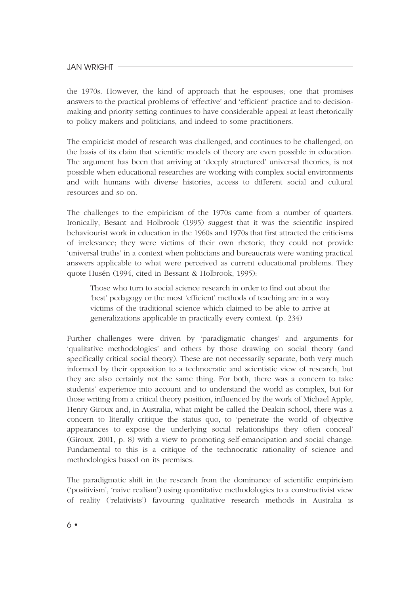JAN WRIGHT -

the 1970s. However, the kind of approach that he espouses; one that promises answers to the practical problems of 'effective' and 'efficient' practice and to decisionmaking and priority setting continues to have considerable appeal at least rhetorically to policy makers and politicians, and indeed to some practitioners.

The empiricist model of research was challenged, and continues to be challenged, on the basis of its claim that scientific models of theory are even possible in education. The argument has been that arriving at 'deeply structured' universal theories, is not possible when educational researches are working with complex social environments and with humans with diverse histories, access to different social and cultural resources and so on.

The challenges to the empiricism of the 1970s came from a number of quarters. Ironically, Besant and Holbrook (1995) suggest that it was the scientific inspired behaviourist work in education in the 1960s and 1970s that first attracted the criticisms of irrelevance; they were victims of their own rhetoric, they could not provide 'universal truths' in a context when politicians and bureaucrats were wanting practical answers applicable to what were perceived as current educational problems. They quote Husén (1994, cited in Bessant & Holbrook, 1995):

Those who turn to social science research in order to find out about the 'best' pedagogy or the most 'efficient' methods of teaching are in a way victims of the traditional science which claimed to be able to arrive at generalizations applicable in practically every context. (p. 234)

Further challenges were driven by 'paradigmatic changes' and arguments for 'qualitative methodologies' and others by those drawing on social theory (and specifically critical social theory). These are not necessarily separate, both very much informed by their opposition to a technocratic and scientistic view of research, but they are also certainly not the same thing. For both, there was a concern to take students' experience into account and to understand the world as complex, but for those writing from a critical theory position, influenced by the work of Michael Apple, Henry Giroux and, in Australia, what might be called the Deakin school, there was a concern to literally critique the status quo, to 'penetrate the world of objective appearances to expose the underlying social relationships they often conceal' (Giroux, 2001, p. 8) with a view to promoting self-emancipation and social change. Fundamental to this is a critique of the technocratic rationality of science and methodologies based on its premises.

The paradigmatic shift in the research from the dominance of scientific empiricism ('positivism', 'naive realism') using quantitative methodologies to a constructivist view of reality ('relativists') favouring qualitative research methods in Australia is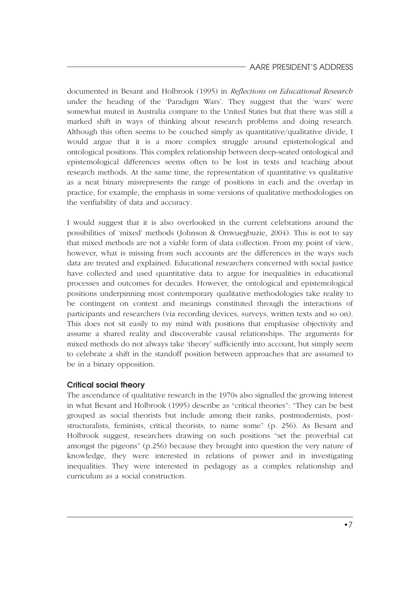documented in Besant and Holbrook (1995) in *Reflections on Educational Research* under the heading of the 'Paradigm Wars'. They suggest that the 'wars' were somewhat muted in Australia compare to the United States but that there was still a marked shift in ways of thinking about research problems and doing research. Although this often seems to be couched simply as quantitative/qualitative divide, I would argue that it is a more complex struggle around epistemological and ontological positions. This complex relationship between deep-seated ontological and epistemological differences seems often to be lost in texts and teaching about research methods. At the same time, the representation of quantitative vs qualitative as a neat binary misrepresents the range of positions in each and the overlap in practice, for example, the emphasis in some versions of qualitative methodologies on the verifiability of data and accuracy.

I would suggest that it is also overlooked in the current celebrations around the possibilities of 'mixed' methods (Johnson & Onwuegbuzie, 2004). This is not to say that mixed methods are not a viable form of data collection. From my point of view, however, what is missing from such accounts are the differences in the ways such data are treated and explained. Educational researchers concerned with social justice have collected and used quantitative data to argue for inequalities in educational processes and outcomes for decades. However, the ontological and epistemological positions underpinning most contemporary qualitative methodologies take reality to be contingent on context and meanings constituted through the interactions of participants and researchers (via recording devices, surveys, written texts and so on). This does not sit easily to my mind with positions that emphasise objectivity and assume a shared reality and discoverable causal relationships. The arguments for mixed methods do not always take 'theory' sufficiently into account, but simply seem to celebrate a shift in the standoff position between approaches that are assumed to be in a binary opposition.

#### **Critical social theory**

The ascendance of qualitative research in the 1970s also signalled the growing interest in what Besant and Holbrook (1995) describe as "critical theories": "They can be best grouped as social theorists but include among their ranks, postmodernists, poststructuralists, feminists, critical theorists, to name some" (p. 256). As Besant and Holbrook suggest, researchers drawing on such positions "set the proverbial cat amongst the pigeons" (p.256) because they brought into question the very nature of knowledge, they were interested in relations of power and in investigating inequalities. They were interested in pedagogy as a complex relationship and curriculum as a social construction.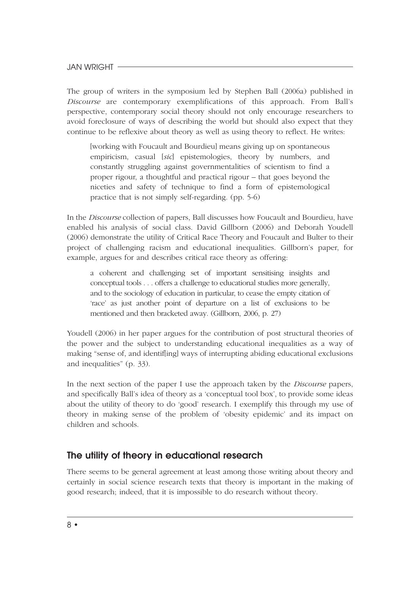The group of writers in the symposium led by Stephen Ball (2006a) published in *Discourse* are contemporary exemplifications of this approach. From Ball's perspective, contemporary social theory should not only encourage researchers to avoid foreclosure of ways of describing the world but should also expect that they continue to be reflexive about theory as well as using theory to reflect. He writes:

[working with Foucault and Bourdieu] means giving up on spontaneous empiricism, casual [*sic*] epistemologies, theory by numbers, and constantly struggling against governmentalities of scientism to find a proper rigour, a thoughtful and practical rigour – that goes beyond the niceties and safety of technique to find a form of epistemological practice that is not simply self-regarding. (pp. 5-6)

In the *Discourse* collection of papers, Ball discusses how Foucault and Bourdieu, have enabled his analysis of social class. David Gillborn (2006) and Deborah Youdell (2006) demonstrate the utility of Critical Race Theory and Foucault and Bulter to their project of challenging racism and educational inequalities. Gillborn's paper, for example, argues for and describes critical race theory as offering:

a coherent and challenging set of important sensitising insights and conceptual tools . . . offers a challenge to educational studies more generally, and to the sociology of education in particular, to cease the empty citation of 'race' as just another point of departure on a list of exclusions to be mentioned and then bracketed away. (Gillborn, 2006, p. 27)

Youdell (2006) in her paper argues for the contribution of post structural theories of the power and the subject to understanding educational inequalities as a way of making "sense of, and identif[ing] ways of interrupting abiding educational exclusions and inequalities" (p. 33).

In the next section of the paper I use the approach taken by the *Discourse* papers, and specifically Ball's idea of theory as a 'conceptual tool box', to provide some ideas about the utility of theory to do 'good' research. I exemplify this through my use of theory in making sense of the problem of 'obesity epidemic' and its impact on children and schools.

# **The utility of theory in educational research**

There seems to be general agreement at least among those writing about theory and certainly in social science research texts that theory is important in the making of good research; indeed, that it is impossible to do research without theory.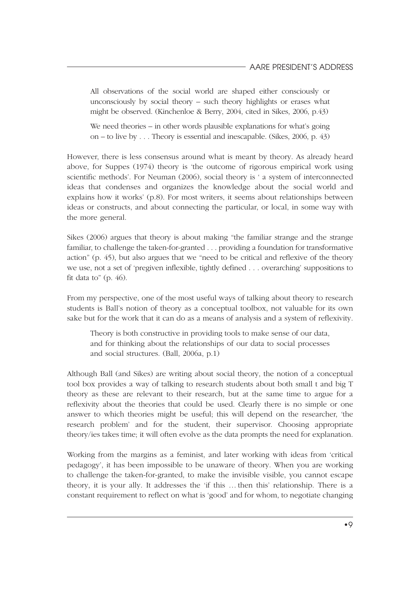All observations of the social world are shaped either consciously or unconsciously by social theory – such theory highlights or erases what might be observed. (Kinchenloe & Berry, 2004, cited in Sikes, 2006, p.43)

We need theories – in other words plausible explanations for what's going on – to live by . . . Theory is essential and inescapable. (Sikes, 2006, p. 43)

However, there is less consensus around what is meant by theory. As already heard above, for Suppes (1974) theory is 'the outcome of rigorous empirical work using scientific methods'. For Neuman (2006), social theory is ' a system of interconnected ideas that condenses and organizes the knowledge about the social world and explains how it works' (p.8). For most writers, it seems about relationships between ideas or constructs, and about connecting the particular, or local, in some way with the more general.

Sikes (2006) argues that theory is about making "the familiar strange and the strange familiar, to challenge the taken-for-granted . . . providing a foundation for transformative action" (p. 45), but also argues that we "need to be critical and reflexive of the theory we use, not a set of 'pregiven inflexible, tightly defined . . . overarching' suppositions to fit data to"  $(p. 46)$ .

From my perspective, one of the most useful ways of talking about theory to research students is Ball's notion of theory as a conceptual toolbox, not valuable for its own sake but for the work that it can do as a means of analysis and a system of reflexivity.

Theory is both constructive in providing tools to make sense of our data, and for thinking about the relationships of our data to social processes and social structures. (Ball, 2006a, p.1)

Although Ball (and Sikes) are writing about social theory, the notion of a conceptual tool box provides a way of talking to research students about both small t and big T theory as these are relevant to their research, but at the same time to argue for a reflexivity about the theories that could be used. Clearly there is no simple or one answer to which theories might be useful; this will depend on the researcher, 'the research problem' and for the student, their supervisor. Choosing appropriate theory/ies takes time; it will often evolve as the data prompts the need for explanation.

Working from the margins as a feminist, and later working with ideas from 'critical pedagogy', it has been impossible to be unaware of theory. When you are working to challenge the taken-for-granted, to make the invisible visible, you cannot escape theory, it is your ally. It addresses the 'if this … then this' relationship. There is a constant requirement to reflect on what is 'good' and for whom, to negotiate changing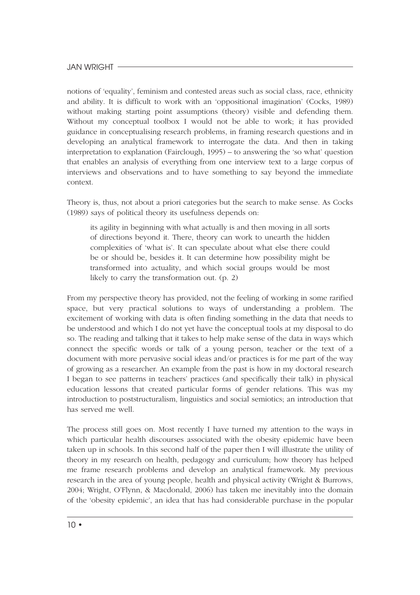notions of 'equality', feminism and contested areas such as social class, race, ethnicity and ability. It is difficult to work with an 'oppositional imagination' (Cocks, 1989) without making starting point assumptions (theory) visible and defending them. Without my conceptual toolbox I would not be able to work; it has provided guidance in conceptualising research problems, in framing research questions and in developing an analytical framework to interrogate the data. And then in taking interpretation to explanation (Fairclough, 1995) – to answering the 'so what' question that enables an analysis of everything from one interview text to a large corpus of interviews and observations and to have something to say beyond the immediate context.

Theory is, thus, not about a priori categories but the search to make sense. As Cocks (1989) says of political theory its usefulness depends on:

its agility in beginning with what actually is and then moving in all sorts of directions beyond it. There, theory can work to unearth the hidden complexities of 'what is'. It can speculate about what else there could be or should be, besides it. It can determine how possibility might be transformed into actuality, and which social groups would be most likely to carry the transformation out. (p. 2)

From my perspective theory has provided, not the feeling of working in some rarified space, but very practical solutions to ways of understanding a problem. The excitement of working with data is often finding something in the data that needs to be understood and which I do not yet have the conceptual tools at my disposal to do so. The reading and talking that it takes to help make sense of the data in ways which connect the specific words or talk of a young person, teacher or the text of a document with more pervasive social ideas and/or practices is for me part of the way of growing as a researcher. An example from the past is how in my doctoral research I began to see patterns in teachers' practices (and specifically their talk) in physical education lessons that created particular forms of gender relations. This was my introduction to poststructuralism, linguistics and social semiotics; an introduction that has served me well.

The process still goes on. Most recently I have turned my attention to the ways in which particular health discourses associated with the obesity epidemic have been taken up in schools. In this second half of the paper then I will illustrate the utility of theory in my research on health, pedagogy and curriculum; how theory has helped me frame research problems and develop an analytical framework. My previous research in the area of young people, health and physical activity (Wright & Burrows, 2004; Wright, O'Flynn, & Macdonald, 2006) has taken me inevitably into the domain of the 'obesity epidemic', an idea that has had considerable purchase in the popular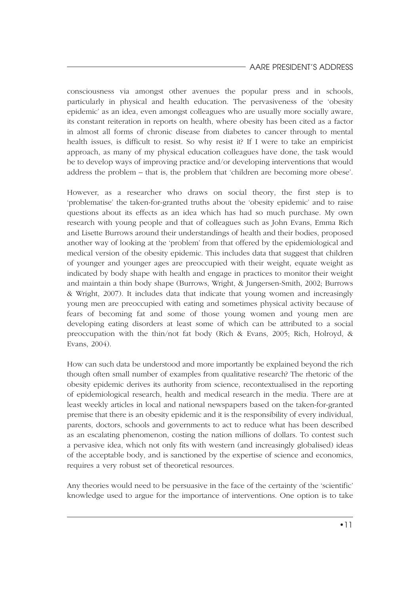consciousness via amongst other avenues the popular press and in schools, particularly in physical and health education. The pervasiveness of the 'obesity epidemic' as an idea, even amongst colleagues who are usually more socially aware, its constant reiteration in reports on health, where obesity has been cited as a factor in almost all forms of chronic disease from diabetes to cancer through to mental health issues, is difficult to resist. So why resist it? If I were to take an empiricist approach, as many of my physical education colleagues have done, the task would be to develop ways of improving practice and/or developing interventions that would address the problem – that is, the problem that 'children are becoming more obese'.

However, as a researcher who draws on social theory, the first step is to 'problematise' the taken-for-granted truths about the 'obesity epidemic' and to raise questions about its effects as an idea which has had so much purchase. My own research with young people and that of colleagues such as John Evans, Emma Rich and Lisette Burrows around their understandings of health and their bodies, proposed another way of looking at the 'problem' from that offered by the epidemiological and medical version of the obesity epidemic. This includes data that suggest that children of younger and younger ages are preoccupied with their weight, equate weight as indicated by body shape with health and engage in practices to monitor their weight and maintain a thin body shape (Burrows, Wright, & Jungersen-Smith, 2002; Burrows & Wright, 2007). It includes data that indicate that young women and increasingly young men are preoccupied with eating and sometimes physical activity because of fears of becoming fat and some of those young women and young men are developing eating disorders at least some of which can be attributed to a social preoccupation with the thin/not fat body (Rich & Evans, 2005; Rich, Holroyd, & Evans, 2004).

How can such data be understood and more importantly be explained beyond the rich though often small number of examples from qualitative research? The rhetoric of the obesity epidemic derives its authority from science, recontextualised in the reporting of epidemiological research, health and medical research in the media. There are at least weekly articles in local and national newspapers based on the taken-for-granted premise that there is an obesity epidemic and it is the responsibility of every individual, parents, doctors, schools and governments to act to reduce what has been described as an escalating phenomenon, costing the nation millions of dollars. To contest such a pervasive idea, which not only fits with western (and increasingly globalised) ideas of the acceptable body, and is sanctioned by the expertise of science and economics, requires a very robust set of theoretical resources.

Any theories would need to be persuasive in the face of the certainty of the 'scientific' knowledge used to argue for the importance of interventions. One option is to take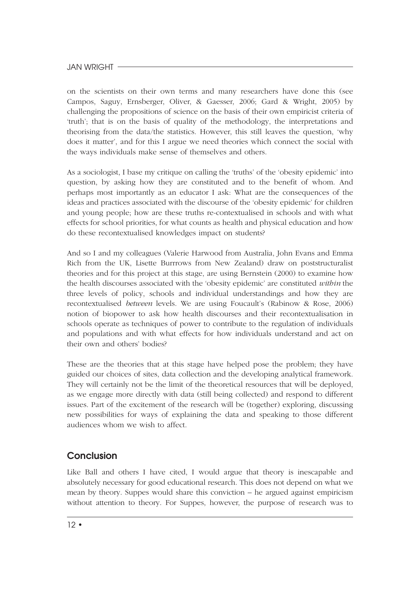JAN WRIGHT

on the scientists on their own terms and many researchers have done this (see Campos, Saguy, Ernsberger, Oliver, & Gaesser, 2006; Gard & Wright, 2005) by challenging the propositions of science on the basis of their own empiricist criteria of 'truth'; that is on the basis of quality of the methodology, the interpretations and theorising from the data/the statistics. However, this still leaves the question, 'why does it matter', and for this I argue we need theories which connect the social with the ways individuals make sense of themselves and others.

As a sociologist, I base my critique on calling the 'truths' of the 'obesity epidemic' into question, by asking how they are constituted and to the benefit of whom. And perhaps most importantly as an educator I ask: What are the consequences of the ideas and practices associated with the discourse of the 'obesity epidemic' for children and young people; how are these truths re-contextualised in schools and with what effects for school priorities, for what counts as health and physical education and how do these recontextualised knowledges impact on students?

And so I and my colleagues (Valerie Harwood from Australia, John Evans and Emma Rich from the UK, Lisette Burrrows from New Zealand) draw on poststructuralist theories and for this project at this stage, are using Bernstein (2000) to examine how the health discourses associated with the 'obesity epidemic' are constituted *within* the three levels of policy, schools and individual understandings and how they are recontextualised *between* levels. We are using Foucault's (Rabinow & Rose, 2006) notion of biopower to ask how health discourses and their recontextualisation in schools operate as techniques of power to contribute to the regulation of individuals and populations and with what effects for how individuals understand and act on their own and others' bodies?

These are the theories that at this stage have helped pose the problem; they have guided our choices of sites, data collection and the developing analytical framework. They will certainly not be the limit of the theoretical resources that will be deployed, as we engage more directly with data (still being collected) and respond to different issues. Part of the excitement of the research will be (together) exploring, discussing new possibilities for ways of explaining the data and speaking to those different audiences whom we wish to affect.

# **Conclusion**

Like Ball and others I have cited, I would argue that theory is inescapable and absolutely necessary for good educational research. This does not depend on what we mean by theory. Suppes would share this conviction – he argued against empiricism without attention to theory. For Suppes, however, the purpose of research was to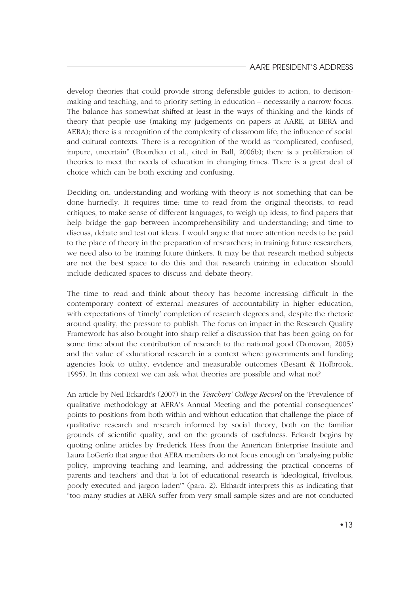develop theories that could provide strong defensible guides to action, to decisionmaking and teaching, and to priority setting in education – necessarily a narrow focus. The balance has somewhat shifted at least in the ways of thinking and the kinds of theory that people use (making my judgements on papers at AARE, at BERA and AERA); there is a recognition of the complexity of classroom life, the influence of social and cultural contexts. There is a recognition of the world as "complicated, confused, impure, uncertain" (Bourdieu et al., cited in Ball, 2006b); there is a proliferation of theories to meet the needs of education in changing times. There is a great deal of choice which can be both exciting and confusing.

Deciding on, understanding and working with theory is not something that can be done hurriedly. It requires time: time to read from the original theorists, to read critiques, to make sense of different languages, to weigh up ideas, to find papers that help bridge the gap between incomprehensibility and understanding; and time to discuss, debate and test out ideas. I would argue that more attention needs to be paid to the place of theory in the preparation of researchers; in training future researchers, we need also to be training future thinkers. It may be that research method subjects are not the best space to do this and that research training in education should include dedicated spaces to discuss and debate theory.

The time to read and think about theory has become increasing difficult in the contemporary context of external measures of accountability in higher education, with expectations of 'timely' completion of research degrees and, despite the rhetoric around quality, the pressure to publish. The focus on impact in the Research Quality Framework has also brought into sharp relief a discussion that has been going on for some time about the contribution of research to the national good (Donovan, 2005) and the value of educational research in a context where governments and funding agencies look to utility, evidence and measurable outcomes (Besant & Holbrook, 1995). In this context we can ask what theories are possible and what not?

An article by Neil Eckardt's (2007) in the *Teachers' College Record* on the 'Prevalence of qualitative methodology at AERA's Annual Meeting and the potential consequences' points to positions from both within and without education that challenge the place of qualitative research and research informed by social theory, both on the familiar grounds of scientific quality, and on the grounds of usefulness. Eckardt begins by quoting online articles by Frederick Hess from the American Enterprise Institute and Laura LoGerfo that argue that AERA members do not focus enough on "analysing public policy, improving teaching and learning, and addressing the practical concerns of parents and teachers' and that 'a lot of educational research is 'ideological, frivolous, poorly executed and jargon laden'" (para. 2). Ekhardt interprets this as indicating that "too many studies at AERA suffer from very small sample sizes and are not conducted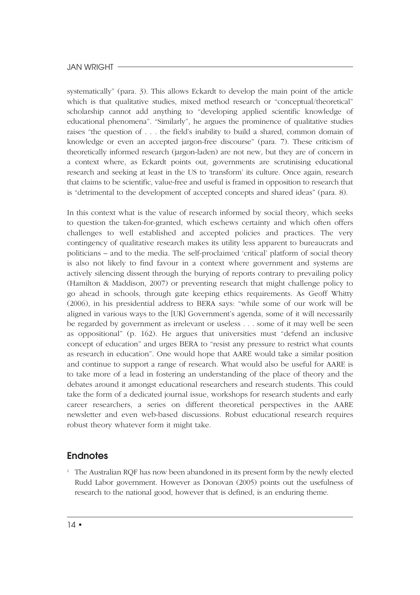systematically" (para. 3). This allows Eckardt to develop the main point of the article which is that qualitative studies, mixed method research or "conceptual/theoretical" scholarship cannot add anything to "developing applied scientific knowledge of educational phenomena". "Similarly", he argues the prominence of qualitative studies raises "the question of . . . the field's inability to build a shared, common domain of knowledge or even an accepted jargon-free discourse" (para. 7). These criticism of theoretically informed research (jargon-laden) are not new, but they are of concern in a context where, as Eckardt points out, governments are scrutinising educational research and seeking at least in the US to 'transform' its culture. Once again, research that claims to be scientific, value-free and useful is framed in opposition to research that is "detrimental to the development of accepted concepts and shared ideas" (para. 8).

In this context what is the value of research informed by social theory, which seeks to question the taken-for-granted, which eschews certainty and which often offers challenges to well established and accepted policies and practices. The very contingency of qualitative research makes its utility less apparent to bureaucrats and politicians – and to the media. The self-proclaimed 'critical' platform of social theory is also not likely to find favour in a context where government and systems are actively silencing dissent through the burying of reports contrary to prevailing policy (Hamilton & Maddison, 2007) or preventing research that might challenge policy to go ahead in schools, through gate keeping ethics requirements. As Geoff Whitty (2006), in his presidential address to BERA says: "while some of our work will be aligned in various ways to the [UK] Government's agenda, some of it will necessarily be regarded by government as irrelevant or useless . . . some of it may well be seen as oppositional" (p. 162). He argues that universities must "defend an inclusive concept of education" and urges BERA to "resist any pressure to restrict what counts as research in education". One would hope that AARE would take a similar position and continue to support a range of research. What would also be useful for AARE is to take more of a lead in fostering an understanding of the place of theory and the debates around it amongst educational researchers and research students. This could take the form of a dedicated journal issue, workshops for research students and early career researchers, a series on different theoretical perspectives in the AARE newsletter and even web-based discussions. Robust educational research requires robust theory whatever form it might take.

#### **Endnotes**

<sup>1</sup> The Australian RQF has now been abandoned in its present form by the newly elected Rudd Labor government. However as Donovan (2005) points out the usefulness of research to the national good, however that is defined, is an enduring theme.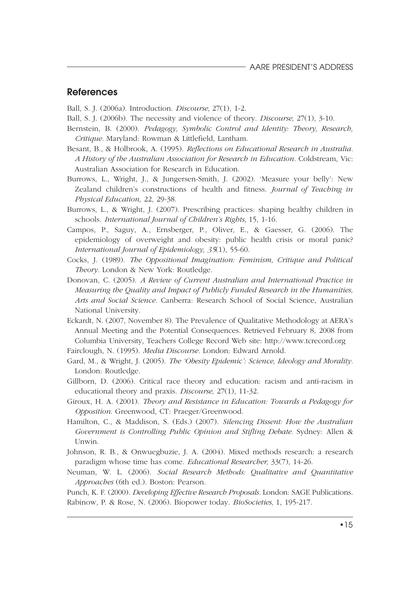#### **References**

Ball, S. J. (2006a). Introduction. *Discourse,* 27(1), 1-2.

- Ball, S. J. (2006b). The necessity and violence of theory. *Discourse,* 27(1), 3-10.
- Bernstein, B. (2000). *Pedagogy, Symbolic Control and Identity: Theory, Research, Critique.* Maryland: Rowman & Littlefield, Lantham.
- Besant, B., & Holbrook, A. (1995). *Reflections on Educational Research in Australia. A History of the Australian Association for Research in Education.* Coldstream, Vic: Australian Association for Research in Education.
- Burrows, L., Wright, J., & Jungersen-Smith, J. (2002). 'Measure your belly': New Zealand children's constructions of health and fitness. *Journal of Teaching in Physical Education,* 22, 29-38.
- Burrows, L., & Wright, J. (2007). Prescribing practices: shaping healthy children in schools. *International Journal of Children's Rights,* 15, 1-16.
- Campos, P., Saguy, A., Ernsberger, P., Oliver, E., & Gaesser, G. (2006). The epidemiology of overweight and obesity: public health crisis or moral panic? *International Journal of Epidemiology, 35*(1), 55-60.
- Cocks, J. (1989). *The Oppositional Imagination: Feminism, Critique and Political Theory.* London & New York: Routledge.
- Donovan, C. (2005). *A Review of Current Australian and International Practice in Measuring the Quality and Impact of Publicly Funded Research in the Humanities, Arts and Social Science.* Canberra: Research School of Social Science, Australian National University.
- Eckardt, N. (2007, November 8). The Prevalence of Qualitative Methodology at AERA's Annual Meeting and the Potential Consequences. Retrieved February 8, 2008 from Columbia University, Teachers College Record Web site: http://www.tcrecord.org

Fairclough, N. (1995). *Media Discourse.* London: Edward Arnold.

- Gard, M., & Wright, J. (2005). *The 'Obesity Epidemic': Science, Ideology and Morality.* London: Routledge.
- Gillborn, D. (2006). Critical race theory and education: racism and anti-racism in educational theory and praxis. *Discourse,* 27(1), 11-32.
- Giroux, H. A. (2001). *Theory and Resistance in Education: Towards a Pedagogy for Opposition*. Greenwood, CT: Praeger/Greenwood.
- Hamilton, C., & Maddison, S. (Eds.) (2007). *Silencing Dissent: How the Australian Government is Controlling Public Opinion and Stifling Debate.* Sydney: Allen & Unwin.
- Johnson, R. B., & Onwuegbuzie, J. A. (2004). Mixed methods research: a research paradigm whose time has come. *Educational Researcher,* 33(7), 14-26.
- Neuman, W. L. (2006). *Social Research Methods: Qualitative and Quantitative Approaches* (6th ed.). Boston: Pearson.

Punch, K. F. (2000). *Developing Effective Research Proposals.* London: SAGE Publications. Rabinow, P. & Rose, N. (2006). Biopower today. *BioSocieties,* 1, 195-217.